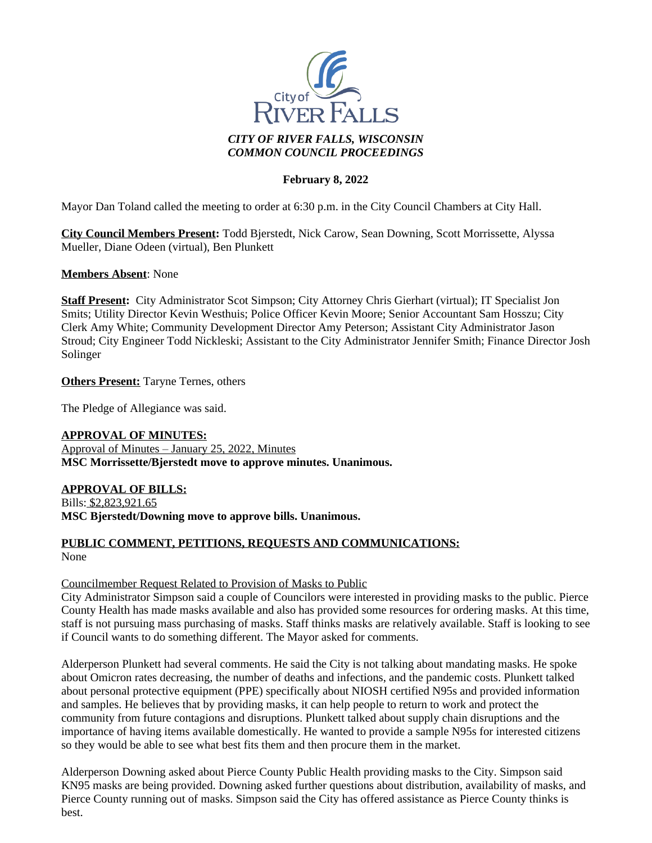

## **February 8, 2022**

Mayor Dan Toland called the meeting to order at 6:30 p.m. in the City Council Chambers at City Hall.

**City Council Members Present:** Todd Bjerstedt, Nick Carow, Sean Downing, Scott Morrissette, Alyssa Mueller, Diane Odeen (virtual), Ben Plunkett

#### **Members Absent**: None

**Staff Present:** City Administrator Scot Simpson; City Attorney Chris Gierhart (virtual); IT Specialist Jon Smits; Utility Director Kevin Westhuis; Police Officer Kevin Moore; Senior Accountant Sam Hosszu; City Clerk Amy White; Community Development Director Amy Peterson; Assistant City Administrator Jason Stroud; City Engineer Todd Nickleski; Assistant to the City Administrator Jennifer Smith; Finance Director Josh Solinger

**Others Present:** Taryne Ternes, others

The Pledge of Allegiance was said.

**APPROVAL OF MINUTES:**

Approval of Minutes – January 25, 2022, Minutes **MSC Morrissette/Bjerstedt move to approve minutes. Unanimous.**

**APPROVAL OF BILLS:**

Bills: \$2,823,921.65 **MSC Bjerstedt/Downing move to approve bills. Unanimous.**

# **PUBLIC COMMENT, PETITIONS, REQUESTS AND COMMUNICATIONS:**

None

#### Councilmember Request Related to Provision of Masks to Public

City Administrator Simpson said a couple of Councilors were interested in providing masks to the public. Pierce County Health has made masks available and also has provided some resources for ordering masks. At this time, staff is not pursuing mass purchasing of masks. Staff thinks masks are relatively available. Staff is looking to see if Council wants to do something different. The Mayor asked for comments.

Alderperson Plunkett had several comments. He said the City is not talking about mandating masks. He spoke about Omicron rates decreasing, the number of deaths and infections, and the pandemic costs. Plunkett talked about personal protective equipment (PPE) specifically about NIOSH certified N95s and provided information and samples. He believes that by providing masks, it can help people to return to work and protect the community from future contagions and disruptions. Plunkett talked about supply chain disruptions and the importance of having items available domestically. He wanted to provide a sample N95s for interested citizens so they would be able to see what best fits them and then procure them in the market.

Alderperson Downing asked about Pierce County Public Health providing masks to the City. Simpson said KN95 masks are being provided. Downing asked further questions about distribution, availability of masks, and Pierce County running out of masks. Simpson said the City has offered assistance as Pierce County thinks is best.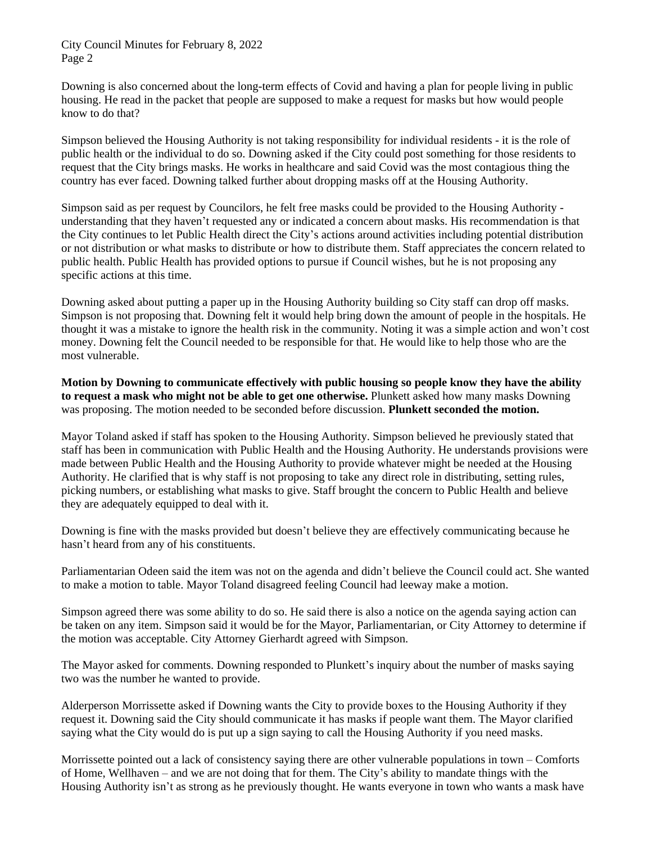City Council Minutes for February 8, 2022 Page 2

Downing is also concerned about the long-term effects of Covid and having a plan for people living in public housing. He read in the packet that people are supposed to make a request for masks but how would people know to do that?

Simpson believed the Housing Authority is not taking responsibility for individual residents - it is the role of public health or the individual to do so. Downing asked if the City could post something for those residents to request that the City brings masks. He works in healthcare and said Covid was the most contagious thing the country has ever faced. Downing talked further about dropping masks off at the Housing Authority.

Simpson said as per request by Councilors, he felt free masks could be provided to the Housing Authority understanding that they haven't requested any or indicated a concern about masks. His recommendation is that the City continues to let Public Health direct the City's actions around activities including potential distribution or not distribution or what masks to distribute or how to distribute them. Staff appreciates the concern related to public health. Public Health has provided options to pursue if Council wishes, but he is not proposing any specific actions at this time.

Downing asked about putting a paper up in the Housing Authority building so City staff can drop off masks. Simpson is not proposing that. Downing felt it would help bring down the amount of people in the hospitals. He thought it was a mistake to ignore the health risk in the community. Noting it was a simple action and won't cost money. Downing felt the Council needed to be responsible for that. He would like to help those who are the most vulnerable.

**Motion by Downing to communicate effectively with public housing so people know they have the ability to request a mask who might not be able to get one otherwise.** Plunkett asked how many masks Downing was proposing. The motion needed to be seconded before discussion. **Plunkett seconded the motion.**

Mayor Toland asked if staff has spoken to the Housing Authority. Simpson believed he previously stated that staff has been in communication with Public Health and the Housing Authority. He understands provisions were made between Public Health and the Housing Authority to provide whatever might be needed at the Housing Authority. He clarified that is why staff is not proposing to take any direct role in distributing, setting rules, picking numbers, or establishing what masks to give. Staff brought the concern to Public Health and believe they are adequately equipped to deal with it.

Downing is fine with the masks provided but doesn't believe they are effectively communicating because he hasn't heard from any of his constituents.

Parliamentarian Odeen said the item was not on the agenda and didn't believe the Council could act. She wanted to make a motion to table. Mayor Toland disagreed feeling Council had leeway make a motion.

Simpson agreed there was some ability to do so. He said there is also a notice on the agenda saying action can be taken on any item. Simpson said it would be for the Mayor, Parliamentarian, or City Attorney to determine if the motion was acceptable. City Attorney Gierhardt agreed with Simpson.

The Mayor asked for comments. Downing responded to Plunkett's inquiry about the number of masks saying two was the number he wanted to provide.

Alderperson Morrissette asked if Downing wants the City to provide boxes to the Housing Authority if they request it. Downing said the City should communicate it has masks if people want them. The Mayor clarified saying what the City would do is put up a sign saying to call the Housing Authority if you need masks.

Morrissette pointed out a lack of consistency saying there are other vulnerable populations in town – Comforts of Home, Wellhaven – and we are not doing that for them. The City's ability to mandate things with the Housing Authority isn't as strong as he previously thought. He wants everyone in town who wants a mask have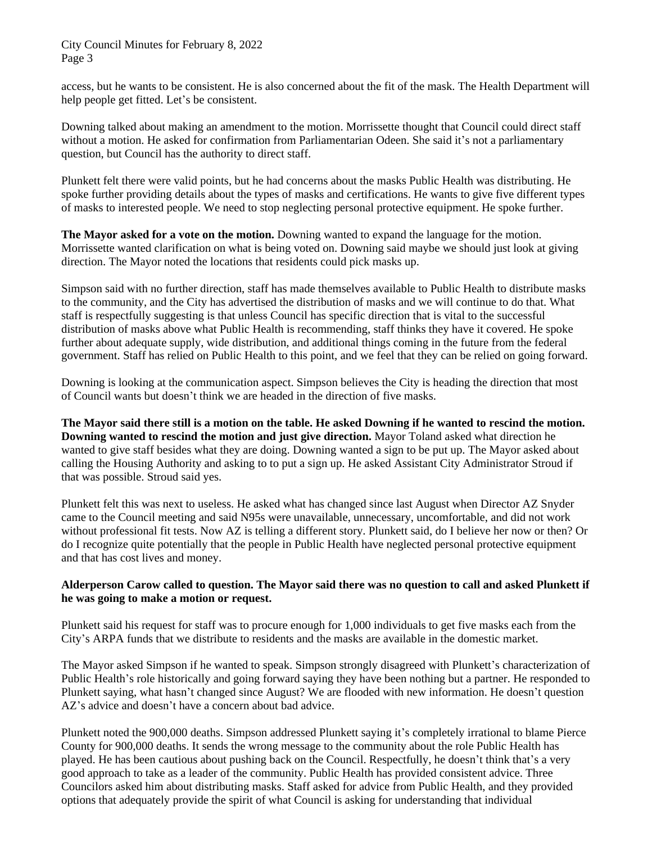City Council Minutes for February 8, 2022 Page 3

access, but he wants to be consistent. He is also concerned about the fit of the mask. The Health Department will help people get fitted. Let's be consistent.

Downing talked about making an amendment to the motion. Morrissette thought that Council could direct staff without a motion. He asked for confirmation from Parliamentarian Odeen. She said it's not a parliamentary question, but Council has the authority to direct staff.

Plunkett felt there were valid points, but he had concerns about the masks Public Health was distributing. He spoke further providing details about the types of masks and certifications. He wants to give five different types of masks to interested people. We need to stop neglecting personal protective equipment. He spoke further.

**The Mayor asked for a vote on the motion.** Downing wanted to expand the language for the motion. Morrissette wanted clarification on what is being voted on. Downing said maybe we should just look at giving direction. The Mayor noted the locations that residents could pick masks up.

Simpson said with no further direction, staff has made themselves available to Public Health to distribute masks to the community, and the City has advertised the distribution of masks and we will continue to do that. What staff is respectfully suggesting is that unless Council has specific direction that is vital to the successful distribution of masks above what Public Health is recommending, staff thinks they have it covered. He spoke further about adequate supply, wide distribution, and additional things coming in the future from the federal government. Staff has relied on Public Health to this point, and we feel that they can be relied on going forward.

Downing is looking at the communication aspect. Simpson believes the City is heading the direction that most of Council wants but doesn't think we are headed in the direction of five masks.

**The Mayor said there still is a motion on the table. He asked Downing if he wanted to rescind the motion. Downing wanted to rescind the motion and just give direction.** Mayor Toland asked what direction he wanted to give staff besides what they are doing. Downing wanted a sign to be put up. The Mayor asked about calling the Housing Authority and asking to to put a sign up. He asked Assistant City Administrator Stroud if that was possible. Stroud said yes.

Plunkett felt this was next to useless. He asked what has changed since last August when Director AZ Snyder came to the Council meeting and said N95s were unavailable, unnecessary, uncomfortable, and did not work without professional fit tests. Now AZ is telling a different story. Plunkett said, do I believe her now or then? Or do I recognize quite potentially that the people in Public Health have neglected personal protective equipment and that has cost lives and money.

#### **Alderperson Carow called to question. The Mayor said there was no question to call and asked Plunkett if he was going to make a motion or request.**

Plunkett said his request for staff was to procure enough for 1,000 individuals to get five masks each from the City's ARPA funds that we distribute to residents and the masks are available in the domestic market.

The Mayor asked Simpson if he wanted to speak. Simpson strongly disagreed with Plunkett's characterization of Public Health's role historically and going forward saying they have been nothing but a partner. He responded to Plunkett saying, what hasn't changed since August? We are flooded with new information. He doesn't question AZ's advice and doesn't have a concern about bad advice.

Plunkett noted the 900,000 deaths. Simpson addressed Plunkett saying it's completely irrational to blame Pierce County for 900,000 deaths. It sends the wrong message to the community about the role Public Health has played. He has been cautious about pushing back on the Council. Respectfully, he doesn't think that's a very good approach to take as a leader of the community. Public Health has provided consistent advice. Three Councilors asked him about distributing masks. Staff asked for advice from Public Health, and they provided options that adequately provide the spirit of what Council is asking for understanding that individual